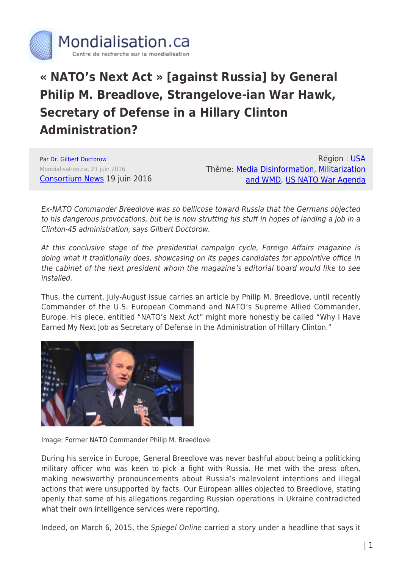

## **« NATO's Next Act » [against Russia] by General Philip M. Breadlove, Strangelove-ian War Hawk, Secretary of Defense in a Hillary Clinton Administration?**

Par [Dr. Gilbert Doctorow](https://www.mondialisation.ca/author/gilbert-doctorow) Mondialisation.ca, 21 juin 2016 [Consortium News](https://consortiumnews.com/2016/06/19/gen-breedlove-strangelove-ian-war-hawk/) 19 juin 2016

Région : [USA](https://www.mondialisation.ca/region/usa) Thème: [Media Disinformation](https://www.mondialisation.ca/theme/media-disinformation), [Militarization](https://www.mondialisation.ca/theme/militarization-and-wmd) [and WMD](https://www.mondialisation.ca/theme/militarization-and-wmd), [US NATO War Agenda](https://www.mondialisation.ca/theme/us-nato-war-agenda)

Ex-NATO Commander Breedlove was so bellicose toward Russia that the Germans objected to his dangerous provocations, but he is now strutting his stuff in hopes of landing a job in a Clinton-45 administration, says Gilbert Doctorow.

At this conclusive stage of the presidential campaign cycle, Foreign Affairs magazine is doing what it traditionally does, showcasing on its pages candidates for appointive office in the cabinet of the next president whom the magazine's editorial board would like to see installed.

Thus, the current, July-August issue carries an article by Philip M. Breedlove, until recently Commander of the U.S. European Command and NATO's Supreme Allied Commander, Europe. His piece, entitled "NATO's Next Act" might more honestly be called "Why I Have Earned My Next Job as Secretary of Defense in the Administration of Hillary Clinton."



Image: Former NATO Commander Philip M. Breedlove.

During his service in Europe, General Breedlove was never bashful about being a politicking military officer who was keen to pick a fight with Russia. He met with the press often, making newsworthy pronouncements about Russia's malevolent intentions and illegal actions that were unsupported by facts. Our European allies objected to Breedlove, stating openly that some of his allegations regarding Russian operations in Ukraine contradicted what their own intelligence services were reporting.

Indeed, on March 6, 2015, the Spiegel Online carried a story under a headline that says it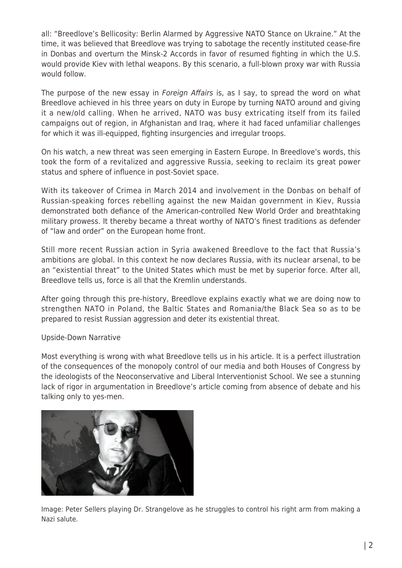all: "Breedlove's Bellicosity: Berlin Alarmed by Aggressive NATO Stance on Ukraine." At the time, it was believed that Breedlove was trying to sabotage the recently instituted cease-fire in Donbas and overturn the Minsk-2 Accords in favor of resumed fighting in which the U.S. would provide Kiev with lethal weapons. By this scenario, a full-blown proxy war with Russia would follow.

The purpose of the new essay in *Foreign Affairs* is, as I say, to spread the word on what Breedlove achieved in his three years on duty in Europe by turning NATO around and giving it a new/old calling. When he arrived, NATO was busy extricating itself from its failed campaigns out of region, in Afghanistan and Iraq, where it had faced unfamiliar challenges for which it was ill-equipped, fighting insurgencies and irregular troops.

On his watch, a new threat was seen emerging in Eastern Europe. In Breedlove's words, this took the form of a revitalized and aggressive Russia, seeking to reclaim its great power status and sphere of influence in post-Soviet space.

With its takeover of Crimea in March 2014 and involvement in the Donbas on behalf of Russian-speaking forces rebelling against the new Maidan government in Kiev, Russia demonstrated both defiance of the American-controlled New World Order and breathtaking military prowess. It thereby became a threat worthy of NATO's finest traditions as defender of "law and order" on the European home front.

Still more recent Russian action in Syria awakened Breedlove to the fact that Russia's ambitions are global. In this context he now declares Russia, with its nuclear arsenal, to be an "existential threat" to the United States which must be met by superior force. After all, Breedlove tells us, force is all that the Kremlin understands.

After going through this pre-history, Breedlove explains exactly what we are doing now to strengthen NATO in Poland, the Baltic States and Romania/the Black Sea so as to be prepared to resist Russian aggression and deter its existential threat.

## Upside-Down Narrative

Most everything is wrong with what Breedlove tells us in his article. It is a perfect illustration of the consequences of the monopoly control of our media and both Houses of Congress by the ideologists of the Neoconservative and Liberal Interventionist School. We see a stunning lack of rigor in argumentation in Breedlove's article coming from absence of debate and his talking only to yes-men.



Image: Peter Sellers playing Dr. Strangelove as he struggles to control his right arm from making a Nazi salute.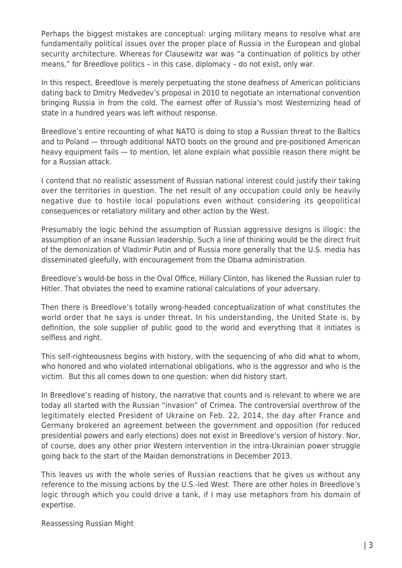Perhaps the biggest mistakes are conceptual: urging military means to resolve what are fundamentally political issues over the proper place of Russia in the European and global security architecture. Whereas for Clausewitz war was "a continuation of politics by other means," for Breedlove politics – in this case, diplomacy – do not exist, only war.

In this respect, Breedlove is merely perpetuating the stone deafness of American politicians dating back to Dmitry Medvedev's proposal in 2010 to negotiate an international convention bringing Russia in from the cold. The earnest offer of Russia's most Westernizing head of state in a hundred years was left without response.

Breedlove's entire recounting of what NATO is doing to stop a Russian threat to the Baltics and to Poland — through additional NATO boots on the ground and pre-positioned American heavy equipment fails — to mention, let alone explain what possible reason there might be for a Russian attack.

I contend that no realistic assessment of Russian national interest could justify their taking over the territories in question. The net result of any occupation could only be heavily negative due to hostile local populations even without considering its geopolitical consequences or retaliatory military and other action by the West.

Presumably the logic behind the assumption of Russian aggressive designs is illogic: the assumption of an insane Russian leadership. Such a line of thinking would be the direct fruit of the demonization of Vladimir Putin and of Russia more generally that the U.S. media has disseminated gleefully, with encouragement from the Obama administration.

Breedlove's would-be boss in the Oval Office, Hillary Clinton, has likened the Russian ruler to Hitler. That obviates the need to examine rational calculations of your adversary.

Then there is Breedlove's totally wrong-headed conceptualization of what constitutes the world order that he says is under threat. In his understanding, the United State is, by definition, the sole supplier of public good to the world and everything that it initiates is selfless and right.

This self-righteousness begins with history, with the sequencing of who did what to whom, who honored and who violated international obligations, who is the aggressor and who is the victim. But this all comes down to one question: when did history start.

In Breedlove's reading of history, the narrative that counts and is relevant to where we are today all started with the Russian "invasion" of Crimea. The controversial overthrow of the legitimately elected President of Ukraine on Feb. 22, 2014, the day after France and Germany brokered an agreement between the government and opposition (for reduced presidential powers and early elections) does not exist in Breedlove's version of history. Nor, of course, does any other prior Western intervention in the intra-Ukrainian power struggle going back to the start of the Maidan demonstrations in December 2013.

This leaves us with the whole series of Russian reactions that he gives us without any reference to the missing actions by the U.S.-led West. There are other holes in Breedlove's logic through which you could drive a tank, if I may use metaphors from his domain of expertise.

Reassessing Russian Might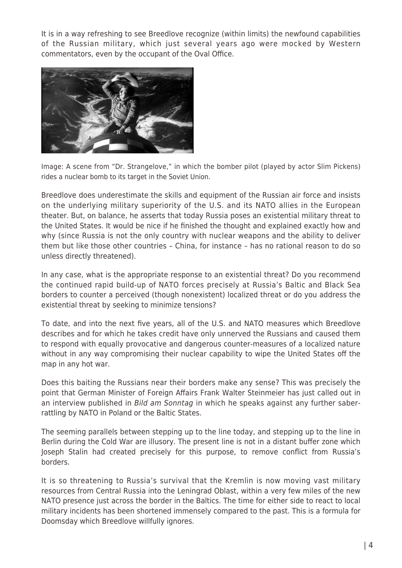It is in a way refreshing to see Breedlove recognize (within limits) the newfound capabilities of the Russian military, which just several years ago were mocked by Western commentators, even by the occupant of the Oval Office.



Image: A scene from "Dr. Strangelove," in which the bomber pilot (played by actor Slim Pickens) rides a nuclear bomb to its target in the Soviet Union.

Breedlove does underestimate the skills and equipment of the Russian air force and insists on the underlying military superiority of the U.S. and its NATO allies in the European theater. But, on balance, he asserts that today Russia poses an existential military threat to the United States. It would be nice if he finished the thought and explained exactly how and why (since Russia is not the only country with nuclear weapons and the ability to deliver them but like those other countries – China, for instance – has no rational reason to do so unless directly threatened).

In any case, what is the appropriate response to an existential threat? Do you recommend the continued rapid build-up of NATO forces precisely at Russia's Baltic and Black Sea borders to counter a perceived (though nonexistent) localized threat or do you address the existential threat by seeking to minimize tensions?

To date, and into the next five years, all of the U.S. and NATO measures which Breedlove describes and for which he takes credit have only unnerved the Russians and caused them to respond with equally provocative and dangerous counter-measures of a localized nature without in any way compromising their nuclear capability to wipe the United States off the map in any hot war.

Does this baiting the Russians near their borders make any sense? This was precisely the point that German Minister of Foreign Affairs Frank Walter Steinmeier has just called out in an interview published in Bild am Sonntag in which he speaks against any further saberrattling by NATO in Poland or the Baltic States.

The seeming parallels between stepping up to the line today, and stepping up to the line in Berlin during the Cold War are illusory. The present line is not in a distant buffer zone which Joseph Stalin had created precisely for this purpose, to remove conflict from Russia's borders.

It is so threatening to Russia's survival that the Kremlin is now moving vast military resources from Central Russia into the Leningrad Oblast, within a very few miles of the new NATO presence just across the border in the Baltics. The time for either side to react to local military incidents has been shortened immensely compared to the past. This is a formula for Doomsday which Breedlove willfully ignores.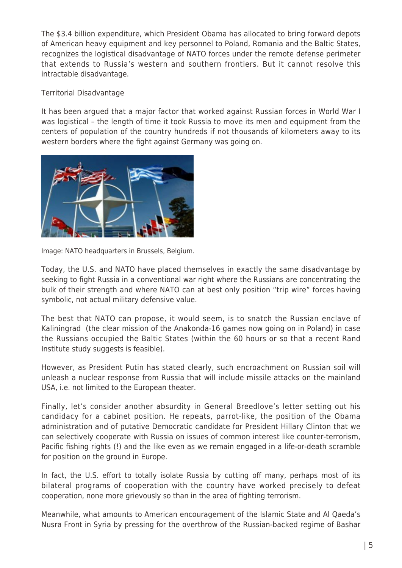The \$3.4 billion expenditure, which President Obama has allocated to bring forward depots of American heavy equipment and key personnel to Poland, Romania and the Baltic States, recognizes the logistical disadvantage of NATO forces under the remote defense perimeter that extends to Russia's western and southern frontiers. But it cannot resolve this intractable disadvantage.

Territorial Disadvantage

It has been argued that a major factor that worked against Russian forces in World War I was logistical – the length of time it took Russia to move its men and equipment from the centers of population of the country hundreds if not thousands of kilometers away to its western borders where the fight against Germany was going on.



Image: NATO headquarters in Brussels, Belgium.

Today, the U.S. and NATO have placed themselves in exactly the same disadvantage by seeking to fight Russia in a conventional war right where the Russians are concentrating the bulk of their strength and where NATO can at best only position "trip wire" forces having symbolic, not actual military defensive value.

The best that NATO can propose, it would seem, is to snatch the Russian enclave of Kaliningrad (the clear mission of the Anakonda-16 games now going on in Poland) in case the Russians occupied the Baltic States (within the 60 hours or so that a recent Rand Institute study suggests is feasible).

However, as President Putin has stated clearly, such encroachment on Russian soil will unleash a nuclear response from Russia that will include missile attacks on the mainland USA, i.e. not limited to the European theater.

Finally, let's consider another absurdity in General Breedlove's letter setting out his candidacy for a cabinet position. He repeats, parrot-like, the position of the Obama administration and of putative Democratic candidate for President Hillary Clinton that we can selectively cooperate with Russia on issues of common interest like counter-terrorism, Pacific fishing rights (!) and the like even as we remain engaged in a life-or-death scramble for position on the ground in Europe.

In fact, the U.S. effort to totally isolate Russia by cutting off many, perhaps most of its bilateral programs of cooperation with the country have worked precisely to defeat cooperation, none more grievously so than in the area of fighting terrorism.

Meanwhile, what amounts to American encouragement of the Islamic State and Al Qaeda's Nusra Front in Syria by pressing for the overthrow of the Russian-backed regime of Bashar